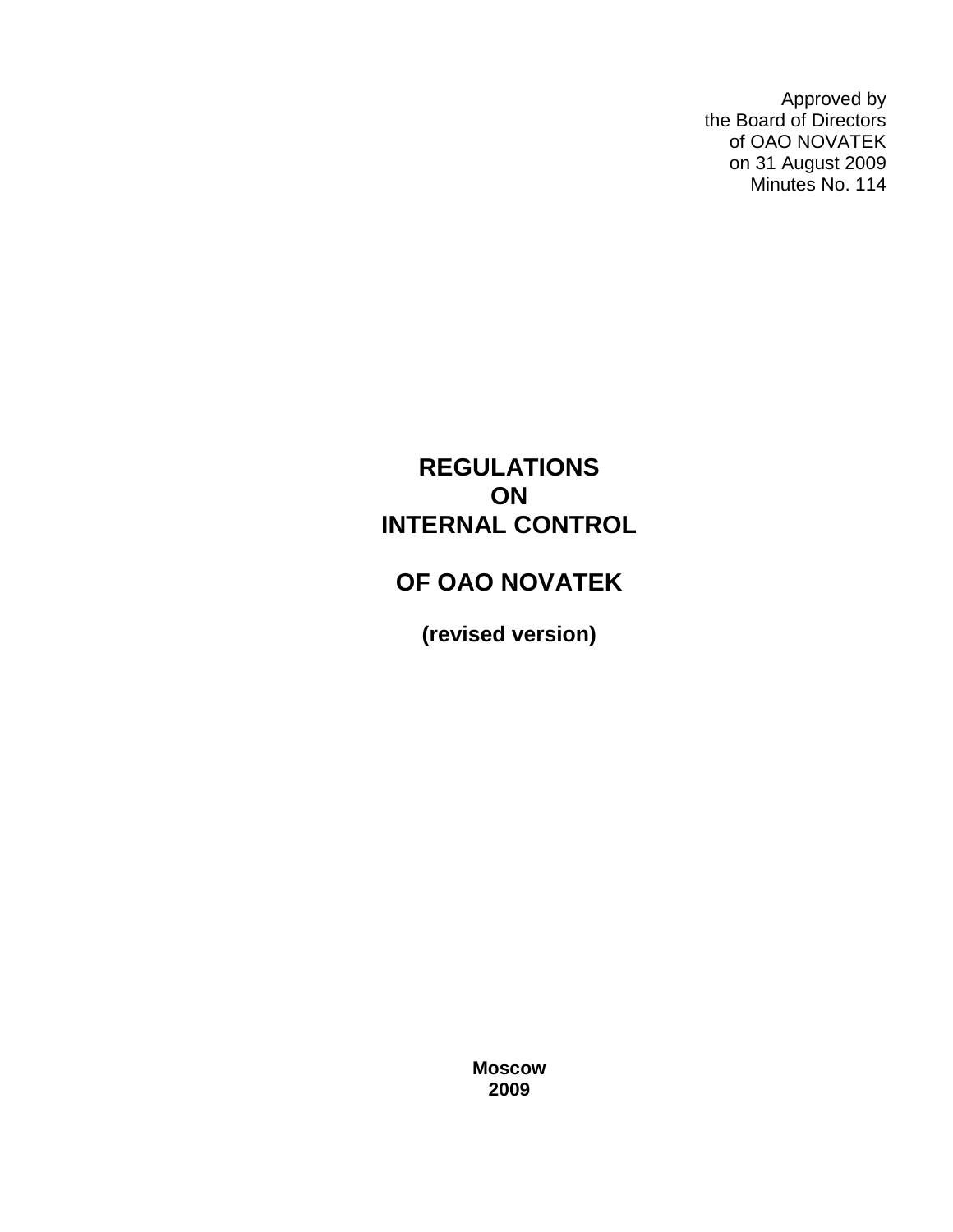Approved by the Board of Directors of OAO NOVATEK on 31 August 2009 Minutes No. 114

# **REGULATIONS ON INTERNAL CONTROL**

# **OF OAO NOVATEK**

**(revised version)**

**Moscow 2009**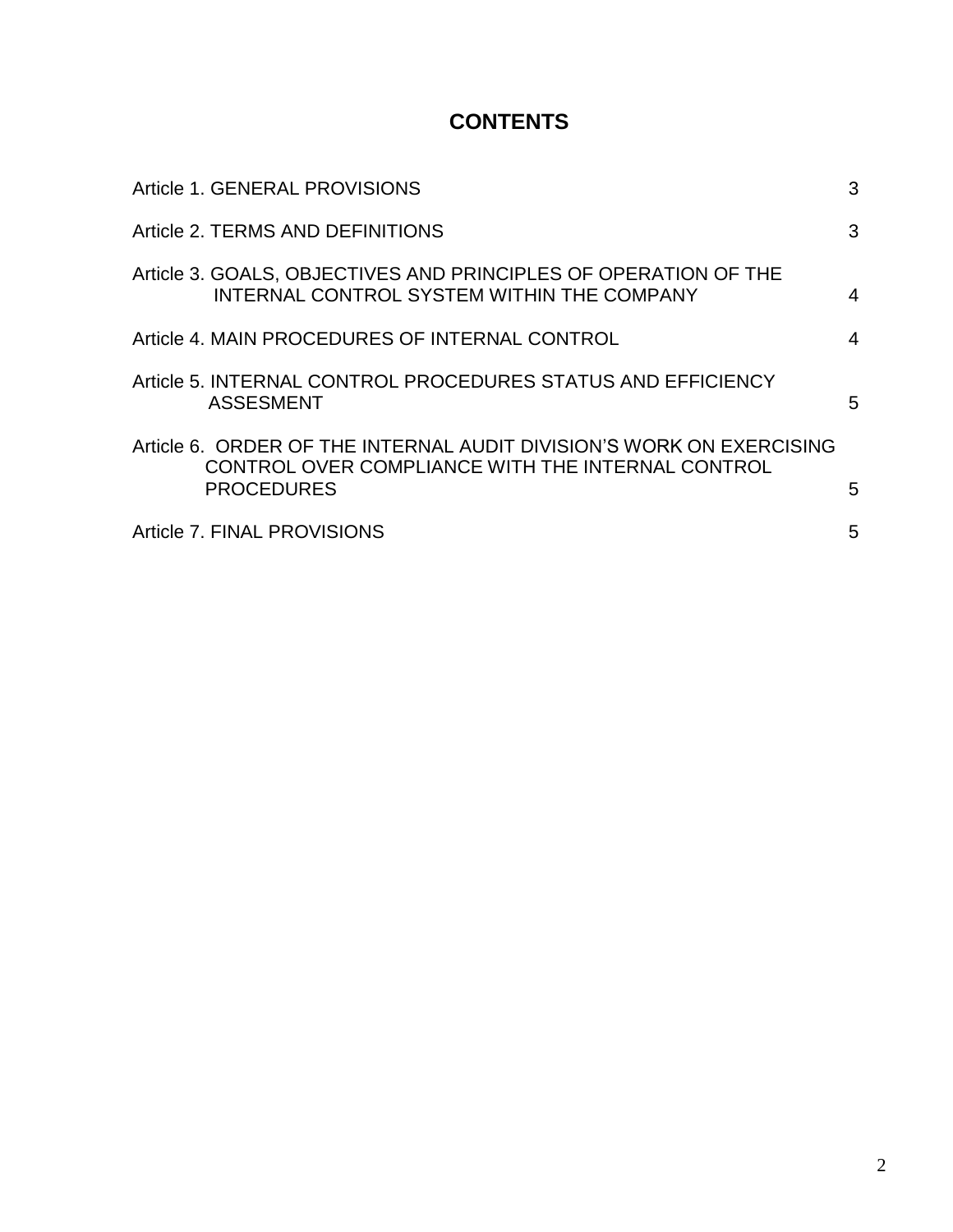## **CONTENTS**

| Article 1. GENERAL PROVISIONS                                                                                                                  | 3 |
|------------------------------------------------------------------------------------------------------------------------------------------------|---|
| Article 2. TERMS AND DEFINITIONS                                                                                                               | 3 |
| Article 3. GOALS, OBJECTIVES AND PRINCIPLES OF OPERATION OF THE<br>INTERNAL CONTROL SYSTEM WITHIN THE COMPANY                                  | 4 |
| Article 4. MAIN PROCEDURES OF INTERNAL CONTROL                                                                                                 | 4 |
| Article 5. INTERNAL CONTROL PROCEDURES STATUS AND EFFICIENCY<br><b>ASSESMENT</b>                                                               | 5 |
| Article 6. ORDER OF THE INTERNAL AUDIT DIVISION'S WORK ON EXERCISING<br>CONTROL OVER COMPLIANCE WITH THE INTERNAL CONTROL<br><b>PROCEDURES</b> | 5 |
| Article 7. FINAL PROVISIONS                                                                                                                    | 5 |
|                                                                                                                                                |   |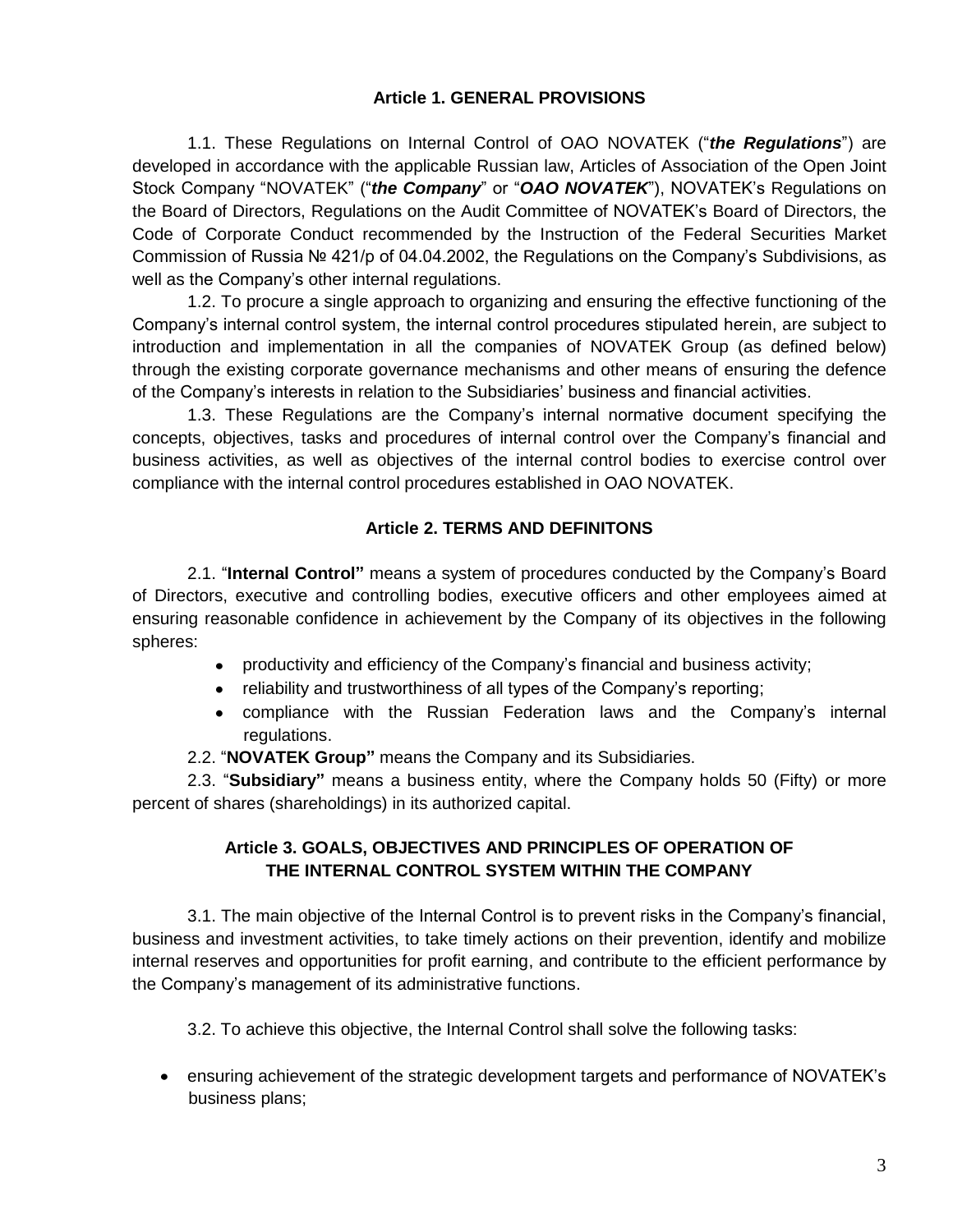#### **Article 1. GENERAL PROVISIONS**

1.1. These Regulations on Internal Control of OAO NOVATEK ("*the Regulations*") are developed in accordance with the applicable Russian law, Articles of Association of the Open Joint Stock Company "NOVATEK" ("*the Company*" or "*OAO NOVATEK*"), NOVATEK's Regulations on the Board of Directors, Regulations on the Audit Committee of NOVATEK's Board of Directors, the Code of Corporate Conduct recommended by the Instruction of the Federal Securities Market Commission of Russia № 421/p of 04.04.2002, the Regulations on the Company's Subdivisions, as well as the Company's other internal regulations.

1.2. To procure a single approach to organizing and ensuring the effective functioning of the Company's internal control system, the internal control procedures stipulated herein, are subject to introduction and implementation in all the companies of NOVATEK Group (as defined below) through the existing corporate governance mechanisms and other means of ensuring the defence of the Company's interests in relation to the Subsidiaries' business and financial activities.

1.3. These Regulations are the Company's internal normative document specifying the concepts, objectives, tasks and procedures of internal control over the Company's financial and business activities, as well as objectives of the internal control bodies to exercise control over compliance with the internal control procedures established in OAO NOVATEK.

#### **Article 2. TERMS AND DEFINITONS**

2.1. "**Internal Control"** means a system of procedures conducted by the Company's Board of Directors, executive and controlling bodies, executive officers and other employees aimed at ensuring reasonable confidence in achievement by the Company of its objectives in the following spheres:

- productivity and efficiency of the Company's financial and business activity;
- reliability and trustworthiness of all types of the Company's reporting;
- compliance with the Russian Federation laws and the Company's internal regulations.

2.2. "**NOVATEK Group"** means the Company and its Subsidiaries.

2.3. "**Subsidiary"** means a business entity, where the Company holds 50 (Fifty) or more percent of shares (shareholdings) in its authorized capital.

#### **Article 3. GOALS, OBJECTIVES AND PRINCIPLES OF OPERATION OF THE INTERNAL CONTROL SYSTEM WITHIN THE COMPANY**

3.1. The main objective of the Internal Control is to prevent risks in the Company's financial, business and investment activities, to take timely actions on their prevention, identify and mobilize internal reserves and opportunities for profit earning, and contribute to the efficient performance by the Company's management of its administrative functions.

3.2. To achieve this objective, the Internal Control shall solve the following tasks:

ensuring achievement of the strategic development targets and performance of NOVATEK's business plans;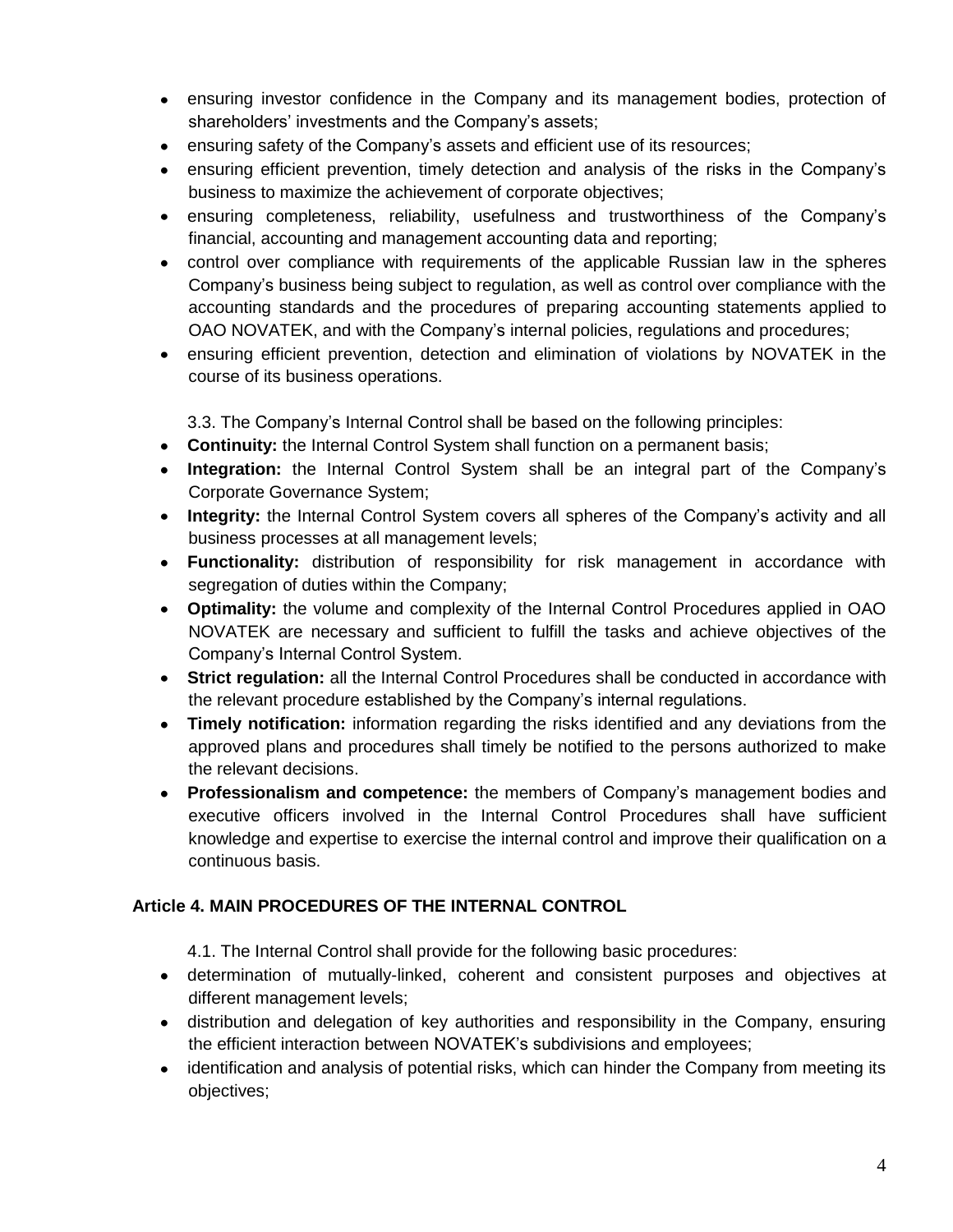- ensuring investor confidence in the Company and its management bodies, protection of shareholders' investments and the Company's assets;
- ensuring safety of the Company's assets and efficient use of its resources;
- ensuring efficient prevention, timely detection and analysis of the risks in the Company's business to maximize the achievement of corporate objectives;
- ensuring completeness, reliability, usefulness and trustworthiness of the Company's financial, accounting and management accounting data and reporting;
- control over compliance with requirements of the applicable Russian law in the spheres  $\bullet$ Company's business being subject to regulation, as well as control over compliance with the accounting standards and the procedures of preparing accounting statements applied to OAO NOVATEK, and with the Company's internal policies, regulations and procedures;
- $\bullet$ ensuring efficient prevention, detection and elimination of violations by NOVATEK in the course of its business operations.

3.3. The Company's Internal Control shall be based on the following principles:

- **Continuity:** the Internal Control System shall function on a permanent basis;
- **Integration:** the Internal Control System shall be an integral part of the Company's Corporate Governance System;
- **Integrity:** the Internal Control System covers all spheres of the Company's activity and all business processes at all management levels;
- **Functionality:** distribution of responsibility for risk management in accordance with segregation of duties within the Company;
- **Optimality:** the volume and complexity of the Internal Control Procedures applied in OAO NOVATEK are necessary and sufficient to fulfill the tasks and achieve objectives of the Company's Internal Control System.
- **Strict regulation:** all the Internal Control Procedures shall be conducted in accordance with the relevant procedure established by the Company's internal regulations.
- **Timely notification:** information regarding the risks identified and any deviations from the  $\bullet$ approved plans and procedures shall timely be notified to the persons authorized to make the relevant decisions.
- **Professionalism and competence:** the members of Company's management bodies and executive officers involved in the Internal Control Procedures shall have sufficient knowledge and expertise to exercise the internal control and improve their qualification on a continuous basis.

### **Article 4. MAIN PROCEDURES OF THE INTERNAL CONTROL**

- 4.1. The Internal Control shall provide for the following basic procedures:
- determination of mutually-linked, coherent and consistent purposes and objectives at different management levels;
- distribution and delegation of key authorities and responsibility in the Company, ensuring the efficient interaction between NOVATEK's subdivisions and employees;
- identification and analysis of potential risks, which can hinder the Company from meeting its objectives;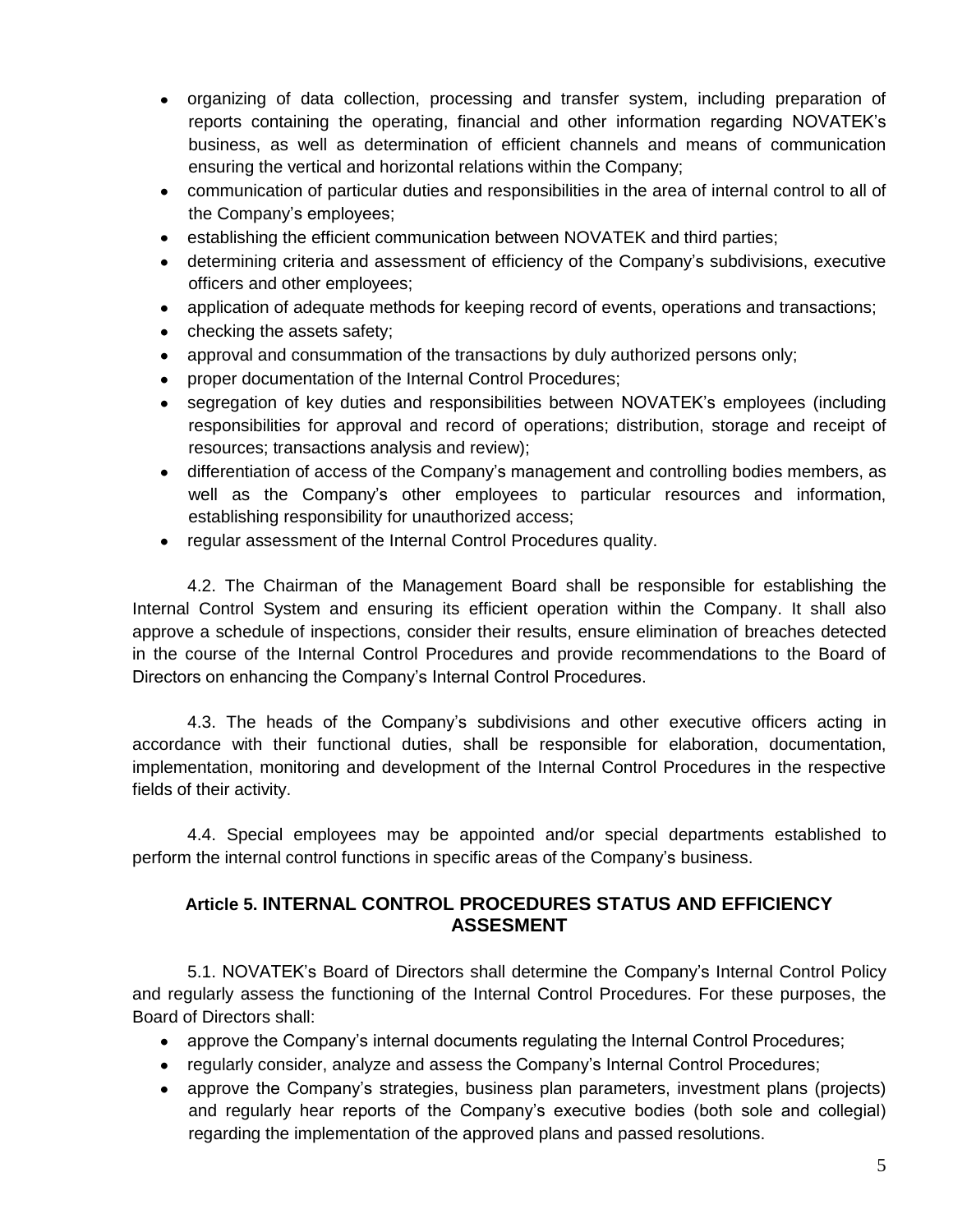- organizing of data collection, processing and transfer system, including preparation of reports containing the operating, financial and other information regarding NOVATEK's business, as well as determination of efficient channels and means of communication ensuring the vertical and horizontal relations within the Company;
- communication of particular duties and responsibilities in the area of internal control to all of the Company's employees;
- $\bullet$ establishing the efficient communication between NOVATEK and third parties;
- determining criteria and assessment of efficiency of the Company's subdivisions, executive officers and other employees;
- application of adequate methods for keeping record of events, operations and transactions;
- checking the assets safety;
- approval and consummation of the transactions by duly authorized persons only;  $\bullet$
- proper documentation of the Internal Control Procedures;
- segregation of key duties and responsibilities between NOVATEK's employees (including  $\bullet$ responsibilities for approval and record of operations; distribution, storage and receipt of resources; transactions analysis and review);
- differentiation of access of the Company's management and controlling bodies members, as well as the Company's other employees to particular resources and information, establishing responsibility for unauthorized access;
- regular assessment of the Internal Control Procedures quality.

4.2. The Chairman of the Management Board shall be responsible for establishing the Internal Control System and ensuring its efficient operation within the Company. It shall also approve a schedule of inspections, consider their results, ensure elimination of breaches detected in the course of the Internal Control Procedures and provide recommendations to the Board of Directors on enhancing the Company's Internal Control Procedures.

4.3. The heads of the Company's subdivisions and other executive officers acting in accordance with their functional duties, shall be responsible for elaboration, documentation, implementation, monitoring and development of the Internal Control Procedures in the respective fields of their activity.

4.4. Special employees may be appointed and/or special departments established to perform the internal control functions in specific areas of the Company's business.

### **Article 5. INTERNAL CONTROL PROCEDURES STATUS AND EFFICIENCY ASSESMENT**

5.1. NOVATEK's Board of Directors shall determine the Company's Internal Control Policy and regularly assess the functioning of the Internal Control Procedures. For these purposes, the Board of Directors shall:

- approve the Company's internal documents regulating the Internal Control Procedures;
- regularly consider, analyze and assess the Company's Internal Control Procedures;
- approve the Company's strategies, business plan parameters, investment plans (projects) and regularly hear reports of the Company's executive bodies (both sole and collegial) regarding the implementation of the approved plans and passed resolutions.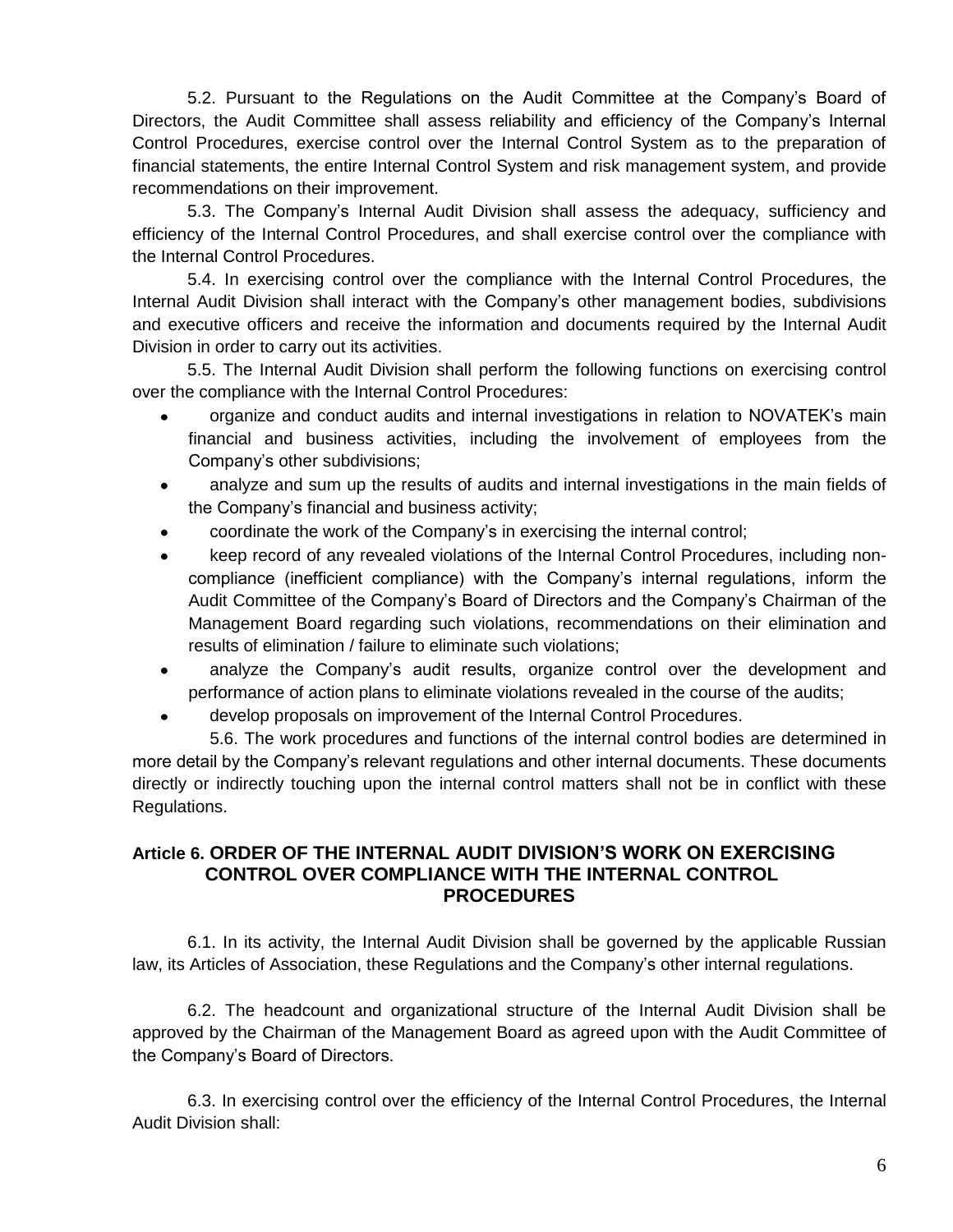5.2. Pursuant to the Regulations on the Audit Committee at the Company's Board of Directors, the Audit Committee shall assess reliability and efficiency of the Company's Internal Control Procedures, exercise control over the Internal Control System as to the preparation of financial statements, the entire Internal Control System and risk management system, and provide recommendations on their improvement.

5.3. The Company's Internal Audit Division shall assess the adequacy, sufficiency and efficiency of the Internal Control Procedures, and shall exercise control over the compliance with the Internal Control Procedures.

5.4. In exercising control over the compliance with the Internal Control Procedures, the Internal Audit Division shall interact with the Company's other management bodies, subdivisions and executive officers and receive the information and documents required by the Internal Audit Division in order to carry out its activities.

5.5. The Internal Audit Division shall perform the following functions on exercising control over the compliance with the Internal Control Procedures:

- organize and conduct audits and internal investigations in relation to NOVATEK's main financial and business activities, including the involvement of employees from the Company's other subdivisions;
- analyze and sum up the results of audits and internal investigations in the main fields of the Company's financial and business activity;
- coordinate the work of the Company's in exercising the internal control;
- keep record of any revealed violations of the Internal Control Procedures, including noncompliance (inefficient compliance) with the Company's internal regulations, inform the Audit Committee of the Company's Board of Directors and the Company's Chairman of the Management Board regarding such violations, recommendations on their elimination and results of elimination / failure to eliminate such violations;
- analyze the Company's audit results, organize control over the development and  $\bullet$ performance of action plans to eliminate violations revealed in the course of the audits;
- develop proposals on improvement of the Internal Control Procedures.

5.6. The work procedures and functions of the internal control bodies are determined in more detail by the Company's relevant regulations and other internal documents. These documents directly or indirectly touching upon the internal control matters shall not be in conflict with these Regulations.

#### **Article 6. ORDER OF THE INTERNAL AUDIT DIVISION'S WORK ON EXERCISING CONTROL OVER COMPLIANCE WITH THE INTERNAL CONTROL PROCEDURES**

6.1. In its activity, the Internal Audit Division shall be governed by the applicable Russian law, its Articles of Association, these Regulations and the Company's other internal regulations.

6.2. The headcount and organizational structure of the Internal Audit Division shall be approved by the Chairman of the Management Board as agreed upon with the Audit Committee of the Company's Board of Directors.

6.3. In exercising control over the efficiency of the Internal Control Procedures, the Internal Audit Division shall: